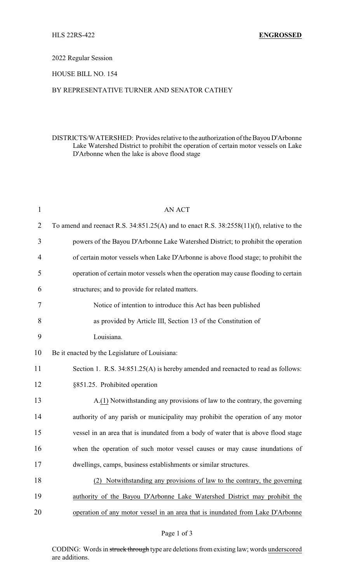#### 2022 Regular Session

## HOUSE BILL NO. 154

#### BY REPRESENTATIVE TURNER AND SENATOR CATHEY

### DISTRICTS/WATERSHED: Provides relative to the authorization ofthe Bayou D'Arbonne Lake Watershed District to prohibit the operation of certain motor vessels on Lake D'Arbonne when the lake is above flood stage

| AN ACT                                                                                        |
|-----------------------------------------------------------------------------------------------|
| To amend and reenact R.S. $34:851.25(A)$ and to enact R.S. $38:2558(11)(f)$ , relative to the |
| powers of the Bayou D'Arbonne Lake Watershed District; to prohibit the operation              |
| of certain motor vessels when Lake D'Arbonne is above flood stage; to prohibit the            |
| operation of certain motor vessels when the operation may cause flooding to certain           |
| structures; and to provide for related matters.                                               |
| Notice of intention to introduce this Act has been published                                  |
| as provided by Article III, Section 13 of the Constitution of                                 |
| Louisiana.                                                                                    |
| Be it enacted by the Legislature of Louisiana:                                                |
| Section 1. R.S. 34:851.25(A) is hereby amended and reenacted to read as follows:              |
| §851.25. Prohibited operation                                                                 |
| A.(1) Notwithstanding any provisions of law to the contrary, the governing                    |
| authority of any parish or municipality may prohibit the operation of any motor               |
| vessel in an area that is inundated from a body of water that is above flood stage            |
| when the operation of such motor vessel causes or may cause inundations of                    |
| dwellings, camps, business establishments or similar structures                               |
| (2) Notwithstanding any provisions of law to the contrary, the governing                      |
| authority of the Bayou D'Arbonne Lake Watershed District may prohibit the                     |
| operation of any motor vessel in an area that is inundated from Lake D'Arbonne                |
|                                                                                               |

CODING: Words in struck through type are deletions from existing law; words underscored are additions.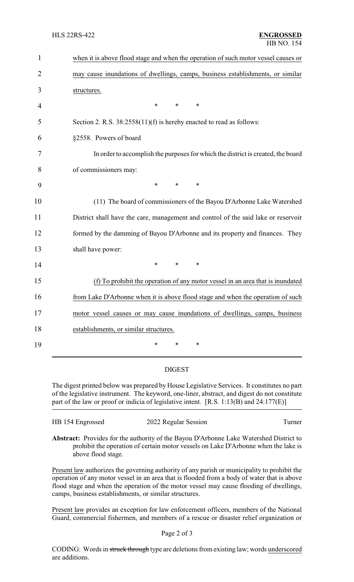| $\mathbf{1}$   | when it is above flood stage and when the operation of such motor vessel causes or |
|----------------|------------------------------------------------------------------------------------|
| $\overline{2}$ | may cause inundations of dwellings, camps, business establishments, or similar     |
| 3              | structures.                                                                        |
| 4              | $\ast$<br>*<br>$\ast$                                                              |
| 5              | Section 2. R.S. 38:2558(11)(f) is hereby enacted to read as follows:               |
| 6              | §2558. Powers of board                                                             |
| 7              | In order to accomplish the purposes for which the district is created, the board   |
| 8              | of commissioners may:                                                              |
| 9              | $\ast$<br>$\ast$<br>$\ast$                                                         |
| 10             | (11) The board of commissioners of the Bayou D'Arbonne Lake Watershed              |
| 11             | District shall have the care, management and control of the said lake or reservoir |
| 12             | formed by the damming of Bayou D'Arbonne and its property and finances. They       |
| 13             | shall have power:                                                                  |
| 14             | $\ast$<br>$\ast$<br>$\ast$                                                         |
| 15             | (f) To prohibit the operation of any motor vessel in an area that is inundated     |
| 16             | from Lake D'Arbonne when it is above flood stage and when the operation of such    |
| 17             | motor vessel causes or may cause inundations of dwellings, camps, business         |
| 18             | establishments, or similar structures.                                             |
| 19             | *<br>*<br>*                                                                        |
|                |                                                                                    |

# DIGEST

The digest printed below was prepared by House Legislative Services. It constitutes no part of the legislative instrument. The keyword, one-liner, abstract, and digest do not constitute part of the law or proof or indicia of legislative intent. [R.S. 1:13(B) and 24:177(E)]

| HB 154 Engrossed | 2022 Regular Session | Turner |
|------------------|----------------------|--------|
|                  |                      |        |

**Abstract:** Provides for the authority of the Bayou D'Arbonne Lake Watershed District to prohibit the operation of certain motor vessels on Lake D'Arbonne when the lake is above flood stage.

Present law authorizes the governing authority of any parish or municipality to prohibit the operation of any motor vessel in an area that is flooded from a body of water that is above flood stage and when the operation of the motor vessel may cause flooding of dwellings, camps, business establishments, or similar structures.

Present law provides an exception for law enforcement officers, members of the National Guard, commercial fishermen, and members of a rescue or disaster relief organization or